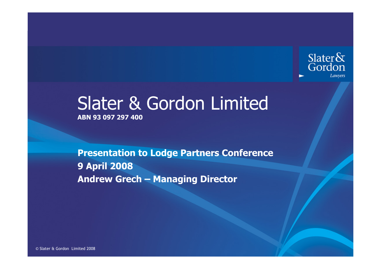

# Slater & Gordon LimitedABN 93 097 297 400

Presentation to Lodge Partners Conference 9 April 2008Andrew Grech – Managing Director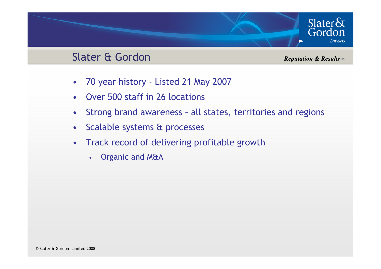### Slater & Gordon

*Reputation & Results™*

Slater $\&$ Gordon

Lawyers

- $\bullet$ 70 year history - Listed 21 May 2007
- •Over 500 staff in 26 locations
- •Strong brand awareness – all states, territories and regions
- $\bullet$ Scalable systems & processes
- • Track record of delivering profitable growth
	- •Organic and M&A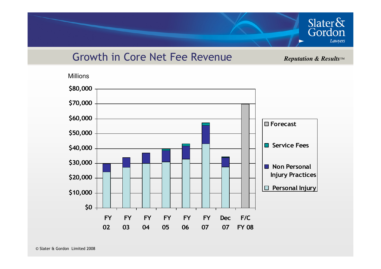

#### Growth in Core Net Fee Revenue

*Reputation & Results™*

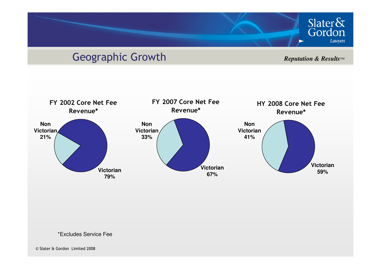## Geographic Growth

*Reputation & Results™*

Slater&<br>Gordon

Lawyers



\*Excludes Service Fee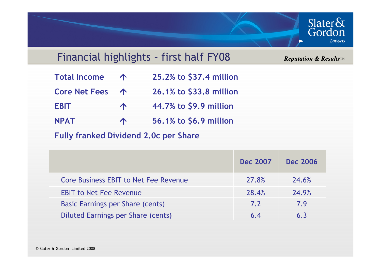

#### Financial highlights – first half FY08

*Reputation & Results™*

| <b>Total Income</b> | 25.2% to \$37.4 million |
|---------------------|-------------------------|
|                     |                         |

Core Net Fees 1 26.1% to \$33.8 million

- EBIT 1 44.7% to \$9.9 million
- NPATT T 56.1% to \$6.9 million

Fully franked Dividend 2.0c per Share

|                                         | <b>Dec 2007</b> | <b>Dec 2006</b> |
|-----------------------------------------|-----------------|-----------------|
| Core Business EBIT to Net Fee Revenue   | 27.8%           | 24.6%           |
| <b>EBIT to Net Fee Revenue</b>          | 28.4%           | 24.9%           |
| <b>Basic Earnings per Share (cents)</b> | 7.2             | 7.9             |
| Diluted Earnings per Share (cents)      | 6.4             | 6.3             |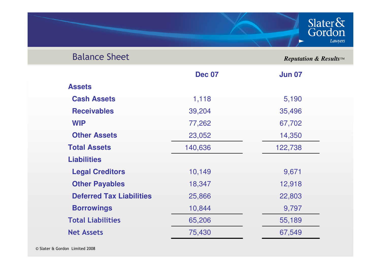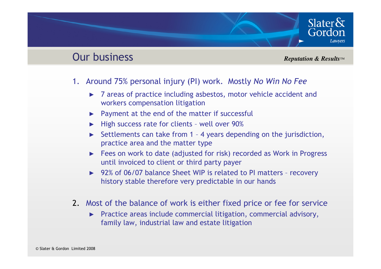# Slater $\delta x$ Gordon **Lawvers**

#### Our business

#### *Reputation & Results™*

- 1. Around 75% personal injury (PI) work. Mostly No Win No Fee
	- ► 7 areas of practice including asbestos, motor vehicle accident and workers compensation litigation
	- ►Payment at the end of the matter if successful
	- ►High success rate for clients – well over 90%
	- ► Settlements can take from 1 – 4 years depending on the jurisdiction, practice area and the matter type
	- ► Fees on work to date (adjusted for risk) recorded as Work in Progress until invoiced to client or third party payer
	- ► 92% of 06/07 balance Sheet WIP is related to PI matters recovery history stable therefore very predictable in our hands
- 2. Most of the balance of work is either fixed price or fee for service
	- ► Practice areas include commercial litigation, commercial advisory, family law, industrial law and estate litigation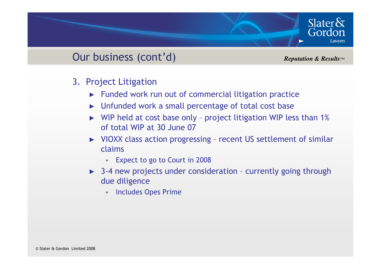### Our business (cont'd)

*Reputation & Results™*

Slater $\&$ Gordon

- 3. Project Litigation
	- ► Funded work run out of commercial litigation practice
	- ► Unfunded work a small percentage of total cost base
	- ► WIP held at cost base only project litigation WIP less than 1% of total WIP at 30 June 07
	- ► VIOXX class action progressing recent US settlement of similar claims
		- •Expect to go to Court in 2008
	- ► 3-4 new projects under consideration currently going through due diligence
		- •Includes Opes Prime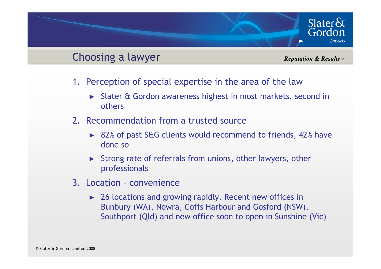#### Choosing a lawyer

*Reputation & Results™*

Slater $\delta$ x

Gordon

- 1. Perception of special expertise in the area of the law
	- ► Slater & Gordon awareness highest in most markets, second in others
- 2. Recommendation from a trusted source
	- ► 82% of past S&G clients would recommend to friends, 42% have done so
	- ► Strong rate of referrals from unions, other lawyers, other professionals
- 3. Location convenience
	- ► 26 locations and growing rapidly. Recent new offices in Bunbury (WA), Nowra, Coffs Harbour and Gosford (NSW), Southport (Qld) and new office soon to open in Sunshine (Vic)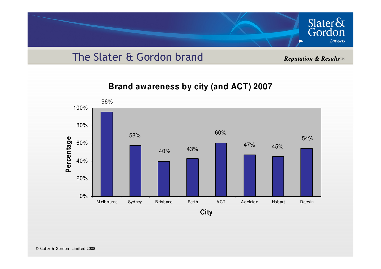

#### The Slater & Gordon brand

*Reputation & Results™*

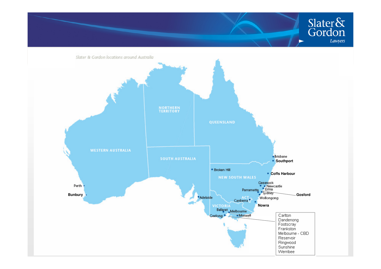

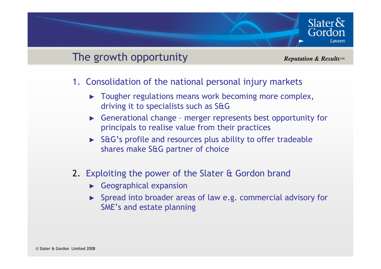#### The growth opportunity

*Reputation & Results™*

Slater $\delta$ 

Gordon

- 1. Consolidation of the national personal injury markets
	- ► Tougher regulations means work becoming more complex, driving it to specialists such as S&G
	- ► Generational change merger represents best opportunity for principals to realise value from their practices
	- ► S&G's profile and resources plus ability to offer tradeable shares make S&G partner of choice
- 2. Exploiting the power of the Slater & Gordon brand
	- ► Geographical expansion
	- ► Spread into broader areas of law e.g. commercial advisory for SME's and estate planning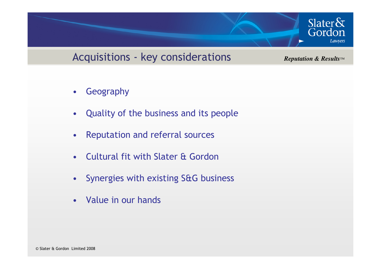#### Acquisitions - key considerations

*Reputation & Results™*

Slater $\&$ 

Gordon

Lawyers

- •Geography
- •Quality of the business and its people
- •Reputation and referral sources
- •Cultural fit with Slater & Gordon
- •Synergies with existing S&G business
- •Value in our hands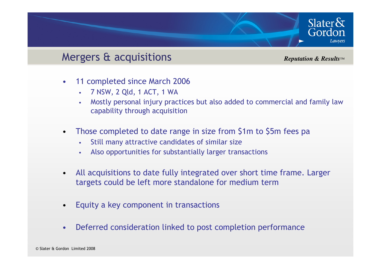#### Mergers & acquisitions

*Reputation & Results™*

Slater $\delta$ 

Gordon

- • 11 completed since March 2006
	- •7 NSW, 2 Qld, 1 ACT, 1 WA
	- Mostly personal injury practices but also added to commercial and family law •capability through acquisition
- $\bullet$  Those completed to date range in size from \$1m to \$5m fees pa
	- •Still many attractive candidates of similar size
	- •Also opportunities for substantially larger transactions
- • All acquisitions to date fully integrated over short time frame. Larger targets could be left more standalone for medium term
- •Equity a key component in transactions
- •Deferred consideration linked to post completion performance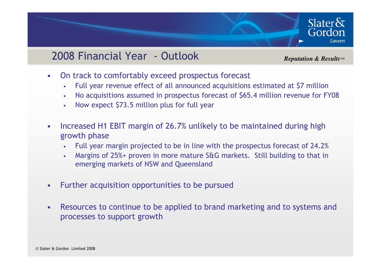#### 2008 Financial Year - Outlook

*Reputation & Results™*

Slater $\delta x$ 

Gordon

- $\bullet$  On track to comfortably exceed prospectus forecast
	- •Full year revenue effect of all announced acquisitions estimated at \$7 million
	- No acquisitions assumed in prospectus forecast of \$65.4 million revenue for FY08•
	- •Now expect \$73.5 million plus for full year
- • Increased H1 EBIT margin of 26.7% unlikely to be maintained during high growth phase
	- Full year margin projected to be in line with the prospectus forecast of 24.2%•
	- Margins of 25%+ proven in more mature S&G markets. Still building to that in •emerging markets of NSW and Queensland
- •Further acquisition opportunities to be pursued
- • Resources to continue to be applied to brand marketing and to systems and processes to support growth